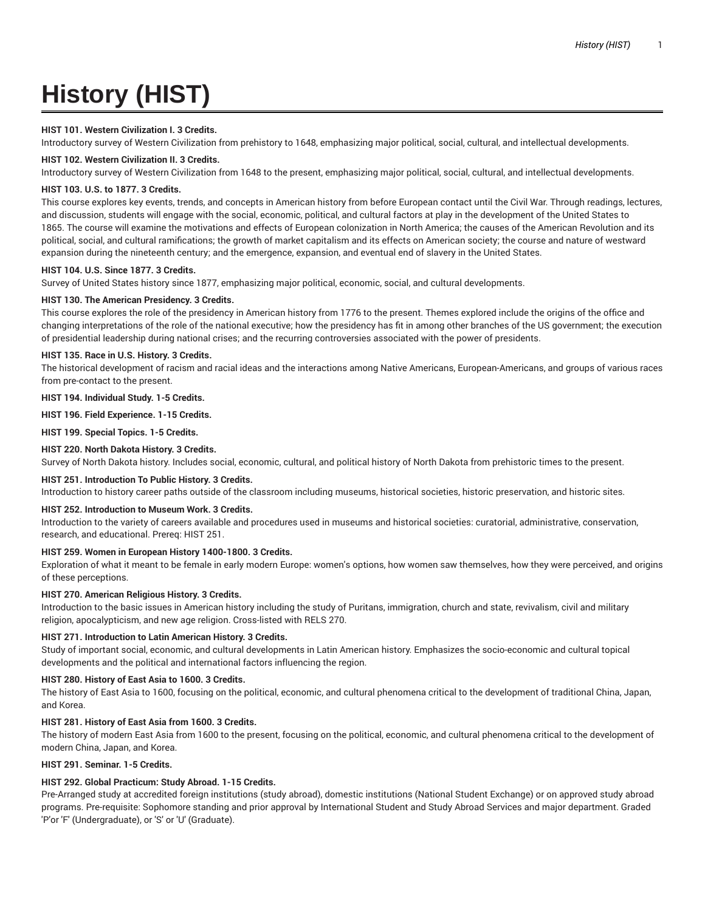# **History (HIST)**

# **HIST 101. Western Civilization I. 3 Credits.**

Introductory survey of Western Civilization from prehistory to 1648, emphasizing major political, social, cultural, and intellectual developments.

## **HIST 102. Western Civilization II. 3 Credits.**

Introductory survey of Western Civilization from 1648 to the present, emphasizing major political, social, cultural, and intellectual developments.

## **HIST 103. U.S. to 1877. 3 Credits.**

This course explores key events, trends, and concepts in American history from before European contact until the Civil War. Through readings, lectures, and discussion, students will engage with the social, economic, political, and cultural factors at play in the development of the United States to 1865. The course will examine the motivations and effects of European colonization in North America; the causes of the American Revolution and its political, social, and cultural ramifications; the growth of market capitalism and its effects on American society; the course and nature of westward expansion during the nineteenth century; and the emergence, expansion, and eventual end of slavery in the United States.

## **HIST 104. U.S. Since 1877. 3 Credits.**

Survey of United States history since 1877, emphasizing major political, economic, social, and cultural developments.

## **HIST 130. The American Presidency. 3 Credits.**

This course explores the role of the presidency in American history from 1776 to the present. Themes explored include the origins of the office and changing interpretations of the role of the national executive; how the presidency has fit in among other branches of the US government; the execution of presidential leadership during national crises; and the recurring controversies associated with the power of presidents.

## **HIST 135. Race in U.S. History. 3 Credits.**

The historical development of racism and racial ideas and the interactions among Native Americans, European-Americans, and groups of various races from pre-contact to the present.

**HIST 194. Individual Study. 1-5 Credits.**

**HIST 196. Field Experience. 1-15 Credits.**

**HIST 199. Special Topics. 1-5 Credits.**

## **HIST 220. North Dakota History. 3 Credits.**

Survey of North Dakota history. Includes social, economic, cultural, and political history of North Dakota from prehistoric times to the present.

## **HIST 251. Introduction To Public History. 3 Credits.**

Introduction to history career paths outside of the classroom including museums, historical societies, historic preservation, and historic sites.

#### **HIST 252. Introduction to Museum Work. 3 Credits.**

Introduction to the variety of careers available and procedures used in museums and historical societies: curatorial, administrative, conservation, research, and educational. Prereq: HIST 251.

## **HIST 259. Women in European History 1400-1800. 3 Credits.**

Exploration of what it meant to be female in early modern Europe: women's options, how women saw themselves, how they were perceived, and origins of these perceptions.

## **HIST 270. American Religious History. 3 Credits.**

Introduction to the basic issues in American history including the study of Puritans, immigration, church and state, revivalism, civil and military religion, apocalypticism, and new age religion. Cross-listed with RELS 270.

## **HIST 271. Introduction to Latin American History. 3 Credits.**

Study of important social, economic, and cultural developments in Latin American history. Emphasizes the socio-economic and cultural topical developments and the political and international factors influencing the region.

## **HIST 280. History of East Asia to 1600. 3 Credits.**

The history of East Asia to 1600, focusing on the political, economic, and cultural phenomena critical to the development of traditional China, Japan, and Korea.

## **HIST 281. History of East Asia from 1600. 3 Credits.**

The history of modern East Asia from 1600 to the present, focusing on the political, economic, and cultural phenomena critical to the development of modern China, Japan, and Korea.

## **HIST 291. Seminar. 1-5 Credits.**

# **HIST 292. Global Practicum: Study Abroad. 1-15 Credits.**

Pre-Arranged study at accredited foreign institutions (study abroad), domestic institutions (National Student Exchange) or on approved study abroad programs. Pre-requisite: Sophomore standing and prior approval by International Student and Study Abroad Services and major department. Graded 'P'or 'F' (Undergraduate), or 'S' or 'U' (Graduate).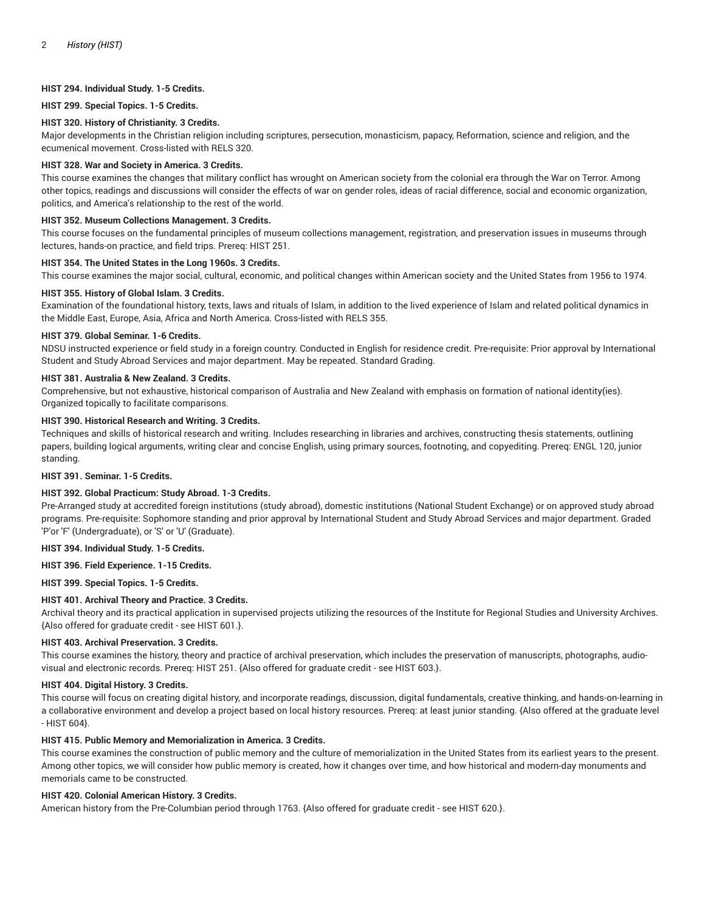# **HIST 294. Individual Study. 1-5 Credits.**

## **HIST 299. Special Topics. 1-5 Credits.**

## **HIST 320. History of Christianity. 3 Credits.**

Major developments in the Christian religion including scriptures, persecution, monasticism, papacy, Reformation, science and religion, and the ecumenical movement. Cross-listed with RELS 320.

## **HIST 328. War and Society in America. 3 Credits.**

This course examines the changes that military conflict has wrought on American society from the colonial era through the War on Terror. Among other topics, readings and discussions will consider the effects of war on gender roles, ideas of racial difference, social and economic organization, politics, and America's relationship to the rest of the world.

## **HIST 352. Museum Collections Management. 3 Credits.**

This course focuses on the fundamental principles of museum collections management, registration, and preservation issues in museums through lectures, hands-on practice, and field trips. Prereq: HIST 251.

# **HIST 354. The United States in the Long 1960s. 3 Credits.**

This course examines the major social, cultural, economic, and political changes within American society and the United States from 1956 to 1974.

## **HIST 355. History of Global Islam. 3 Credits.**

Examination of the foundational history, texts, laws and rituals of Islam, in addition to the lived experience of Islam and related political dynamics in the Middle East, Europe, Asia, Africa and North America. Cross-listed with RELS 355.

## **HIST 379. Global Seminar. 1-6 Credits.**

NDSU instructed experience or field study in a foreign country. Conducted in English for residence credit. Pre-requisite: Prior approval by International Student and Study Abroad Services and major department. May be repeated. Standard Grading.

## **HIST 381. Australia & New Zealand. 3 Credits.**

Comprehensive, but not exhaustive, historical comparison of Australia and New Zealand with emphasis on formation of national identity(ies). Organized topically to facilitate comparisons.

## **HIST 390. Historical Research and Writing. 3 Credits.**

Techniques and skills of historical research and writing. Includes researching in libraries and archives, constructing thesis statements, outlining papers, building logical arguments, writing clear and concise English, using primary sources, footnoting, and copyediting. Prereq: ENGL 120, junior standing.

#### **HIST 391. Seminar. 1-5 Credits.**

## **HIST 392. Global Practicum: Study Abroad. 1-3 Credits.**

Pre-Arranged study at accredited foreign institutions (study abroad), domestic institutions (National Student Exchange) or on approved study abroad programs. Pre-requisite: Sophomore standing and prior approval by International Student and Study Abroad Services and major department. Graded 'P'or 'F' (Undergraduate), or 'S' or 'U' (Graduate).

**HIST 394. Individual Study. 1-5 Credits.**

**HIST 396. Field Experience. 1-15 Credits.**

**HIST 399. Special Topics. 1-5 Credits.**

## **HIST 401. Archival Theory and Practice. 3 Credits.**

Archival theory and its practical application in supervised projects utilizing the resources of the Institute for Regional Studies and University Archives. {Also offered for graduate credit - see HIST 601.}.

## **HIST 403. Archival Preservation. 3 Credits.**

This course examines the history, theory and practice of archival preservation, which includes the preservation of manuscripts, photographs, audiovisual and electronic records. Prereq: HIST 251. {Also offered for graduate credit - see HIST 603.}.

#### **HIST 404. Digital History. 3 Credits.**

This course will focus on creating digital history, and incorporate readings, discussion, digital fundamentals, creative thinking, and hands-on-learning in a collaborative environment and develop a project based on local history resources. Prereq: at least junior standing. {Also offered at the graduate level - HIST 604}.

## **HIST 415. Public Memory and Memorialization in America. 3 Credits.**

This course examines the construction of public memory and the culture of memorialization in the United States from its earliest years to the present. Among other topics, we will consider how public memory is created, how it changes over time, and how historical and modern-day monuments and memorials came to be constructed.

#### **HIST 420. Colonial American History. 3 Credits.**

American history from the Pre-Columbian period through 1763. {Also offered for graduate credit - see HIST 620.}.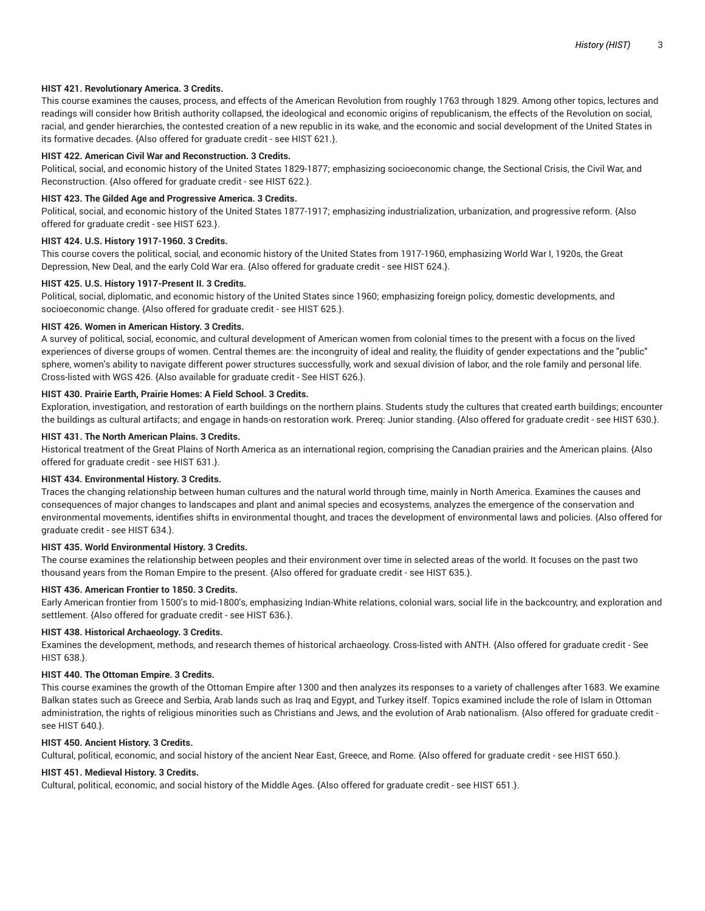## **HIST 421. Revolutionary America. 3 Credits.**

This course examines the causes, process, and effects of the American Revolution from roughly 1763 through 1829. Among other topics, lectures and readings will consider how British authority collapsed, the ideological and economic origins of republicanism, the effects of the Revolution on social, racial, and gender hierarchies, the contested creation of a new republic in its wake, and the economic and social development of the United States in its formative decades. {Also offered for graduate credit - see HIST 621.}.

## **HIST 422. American Civil War and Reconstruction. 3 Credits.**

Political, social, and economic history of the United States 1829-1877; emphasizing socioeconomic change, the Sectional Crisis, the Civil War, and Reconstruction. {Also offered for graduate credit - see HIST 622.}.

# **HIST 423. The Gilded Age and Progressive America. 3 Credits.**

Political, social, and economic history of the United States 1877-1917; emphasizing industrialization, urbanization, and progressive reform. {Also offered for graduate credit - see HIST 623.}.

## **HIST 424. U.S. History 1917-1960. 3 Credits.**

This course covers the political, social, and economic history of the United States from 1917-1960, emphasizing World War I, 1920s, the Great Depression, New Deal, and the early Cold War era. {Also offered for graduate credit - see HIST 624.}.

## **HIST 425. U.S. History 1917-Present II. 3 Credits.**

Political, social, diplomatic, and economic history of the United States since 1960; emphasizing foreign policy, domestic developments, and socioeconomic change. {Also offered for graduate credit - see HIST 625.}.

# **HIST 426. Women in American History. 3 Credits.**

A survey of political, social, economic, and cultural development of American women from colonial times to the present with a focus on the lived experiences of diverse groups of women. Central themes are: the incongruity of ideal and reality, the fluidity of gender expectations and the "public" sphere, women's ability to navigate different power structures successfully, work and sexual division of labor, and the role family and personal life. Cross-listed with WGS 426. {Also available for graduate credit - See HIST 626.}.

## **HIST 430. Prairie Earth, Prairie Homes: A Field School. 3 Credits.**

Exploration, investigation, and restoration of earth buildings on the northern plains. Students study the cultures that created earth buildings; encounter the buildings as cultural artifacts; and engage in hands-on restoration work. Prereq: Junior standing. {Also offered for graduate credit - see HIST 630.}.

## **HIST 431. The North American Plains. 3 Credits.**

Historical treatment of the Great Plains of North America as an international region, comprising the Canadian prairies and the American plains. {Also offered for graduate credit - see HIST 631.}.

## **HIST 434. Environmental History. 3 Credits.**

Traces the changing relationship between human cultures and the natural world through time, mainly in North America. Examines the causes and consequences of major changes to landscapes and plant and animal species and ecosystems, analyzes the emergence of the conservation and environmental movements, identifies shifts in environmental thought, and traces the development of environmental laws and policies. {Also offered for graduate credit - see HIST 634.}.

## **HIST 435. World Environmental History. 3 Credits.**

The course examines the relationship between peoples and their environment over time in selected areas of the world. It focuses on the past two thousand years from the Roman Empire to the present. {Also offered for graduate credit - see HIST 635.}.

## **HIST 436. American Frontier to 1850. 3 Credits.**

Early American frontier from 1500's to mid-1800's, emphasizing Indian-White relations, colonial wars, social life in the backcountry, and exploration and settlement. {Also offered for graduate credit - see HIST 636.}.

## **HIST 438. Historical Archaeology. 3 Credits.**

Examines the development, methods, and research themes of historical archaeology. Cross-listed with ANTH. {Also offered for graduate credit - See HIST 638.}.

# **HIST 440. The Ottoman Empire. 3 Credits.**

This course examines the growth of the Ottoman Empire after 1300 and then analyzes its responses to a variety of challenges after 1683. We examine Balkan states such as Greece and Serbia, Arab lands such as Iraq and Egypt, and Turkey itself. Topics examined include the role of Islam in Ottoman administration, the rights of religious minorities such as Christians and Jews, and the evolution of Arab nationalism. (Also offered for graduate credit see HIST 640.}.

## **HIST 450. Ancient History. 3 Credits.**

Cultural, political, economic, and social history of the ancient Near East, Greece, and Rome. {Also offered for graduate credit - see HIST 650.}.

## **HIST 451. Medieval History. 3 Credits.**

Cultural, political, economic, and social history of the Middle Ages. {Also offered for graduate credit - see HIST 651.}.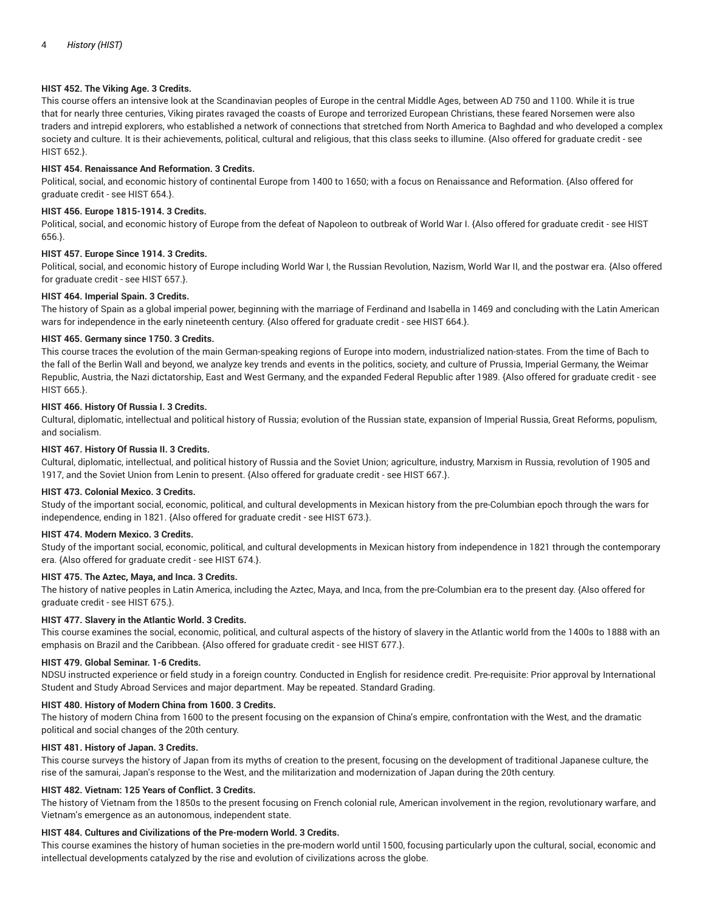# **HIST 452. The Viking Age. 3 Credits.**

This course offers an intensive look at the Scandinavian peoples of Europe in the central Middle Ages, between AD 750 and 1100. While it is true that for nearly three centuries, Viking pirates ravaged the coasts of Europe and terrorized European Christians, these feared Norsemen were also traders and intrepid explorers, who established a network of connections that stretched from North America to Baghdad and who developed a complex society and culture. It is their achievements, political, cultural and religious, that this class seeks to illumine. {Also offered for graduate credit - see HIST 652.}.

## **HIST 454. Renaissance And Reformation. 3 Credits.**

Political, social, and economic history of continental Europe from 1400 to 1650; with a focus on Renaissance and Reformation. {Also offered for graduate credit - see HIST 654.}.

#### **HIST 456. Europe 1815-1914. 3 Credits.**

Political, social, and economic history of Europe from the defeat of Napoleon to outbreak of World War I. {Also offered for graduate credit - see HIST 656.}.

## **HIST 457. Europe Since 1914. 3 Credits.**

Political, social, and economic history of Europe including World War I, the Russian Revolution, Nazism, World War II, and the postwar era. {Also offered for graduate credit - see HIST 657.}.

## **HIST 464. Imperial Spain. 3 Credits.**

The history of Spain as a global imperial power, beginning with the marriage of Ferdinand and Isabella in 1469 and concluding with the Latin American wars for independence in the early nineteenth century. {Also offered for graduate credit - see HIST 664.}.

## **HIST 465. Germany since 1750. 3 Credits.**

This course traces the evolution of the main German-speaking regions of Europe into modern, industrialized nation-states. From the time of Bach to the fall of the Berlin Wall and beyond, we analyze key trends and events in the politics, society, and culture of Prussia, Imperial Germany, the Weimar Republic, Austria, the Nazi dictatorship, East and West Germany, and the expanded Federal Republic after 1989. {Also offered for graduate credit - see HIST 665.}.

## **HIST 466. History Of Russia I. 3 Credits.**

Cultural, diplomatic, intellectual and political history of Russia; evolution of the Russian state, expansion of Imperial Russia, Great Reforms, populism, and socialism.

## **HIST 467. History Of Russia II. 3 Credits.**

Cultural, diplomatic, intellectual, and political history of Russia and the Soviet Union; agriculture, industry, Marxism in Russia, revolution of 1905 and 1917, and the Soviet Union from Lenin to present. {Also offered for graduate credit - see HIST 667.}.

#### **HIST 473. Colonial Mexico. 3 Credits.**

Study of the important social, economic, political, and cultural developments in Mexican history from the pre-Columbian epoch through the wars for independence, ending in 1821. {Also offered for graduate credit - see HIST 673.}.

#### **HIST 474. Modern Mexico. 3 Credits.**

Study of the important social, economic, political, and cultural developments in Mexican history from independence in 1821 through the contemporary era. {Also offered for graduate credit - see HIST 674.}.

## **HIST 475. The Aztec, Maya, and Inca. 3 Credits.**

The history of native peoples in Latin America, including the Aztec, Maya, and Inca, from the pre-Columbian era to the present day. {Also offered for graduate credit - see HIST 675.}.

## **HIST 477. Slavery in the Atlantic World. 3 Credits.**

This course examines the social, economic, political, and cultural aspects of the history of slavery in the Atlantic world from the 1400s to 1888 with an emphasis on Brazil and the Caribbean. {Also offered for graduate credit - see HIST 677.}.

## **HIST 479. Global Seminar. 1-6 Credits.**

NDSU instructed experience or field study in a foreign country. Conducted in English for residence credit. Pre-requisite: Prior approval by International Student and Study Abroad Services and major department. May be repeated. Standard Grading.

#### **HIST 480. History of Modern China from 1600. 3 Credits.**

The history of modern China from 1600 to the present focusing on the expansion of China's empire, confrontation with the West, and the dramatic political and social changes of the 20th century.

## **HIST 481. History of Japan. 3 Credits.**

This course surveys the history of Japan from its myths of creation to the present, focusing on the development of traditional Japanese culture, the rise of the samurai, Japan's response to the West, and the militarization and modernization of Japan during the 20th century.

## **HIST 482. Vietnam: 125 Years of Conflict. 3 Credits.**

The history of Vietnam from the 1850s to the present focusing on French colonial rule, American involvement in the region, revolutionary warfare, and Vietnam's emergence as an autonomous, independent state.

## **HIST 484. Cultures and Civilizations of the Pre-modern World. 3 Credits.**

This course examines the history of human societies in the pre-modern world until 1500, focusing particularly upon the cultural, social, economic and intellectual developments catalyzed by the rise and evolution of civilizations across the globe.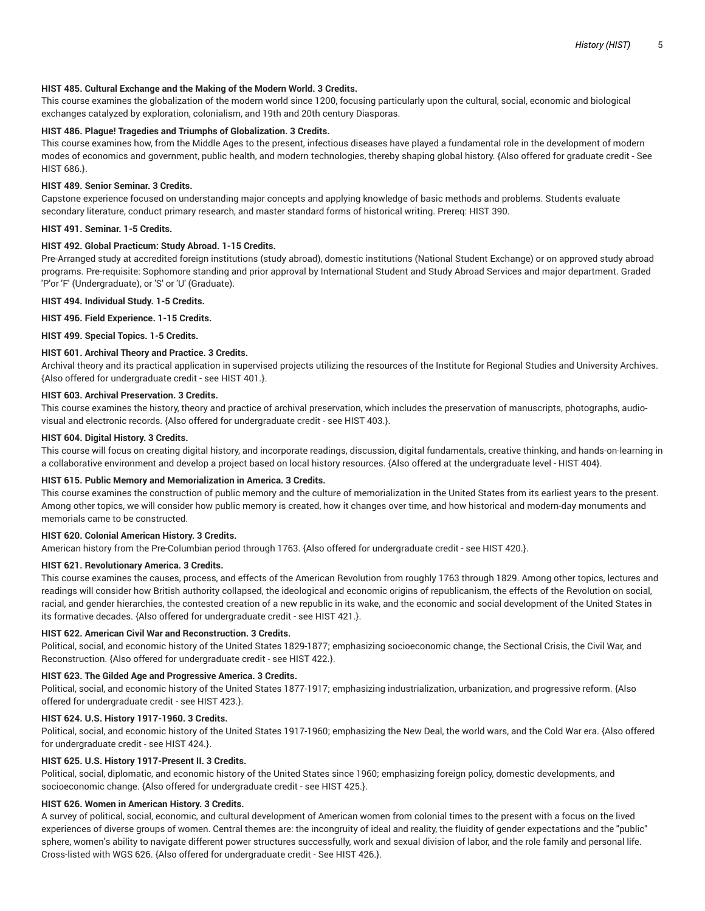# *History (HIST)* 5

## **HIST 485. Cultural Exchange and the Making of the Modern World. 3 Credits.**

This course examines the globalization of the modern world since 1200, focusing particularly upon the cultural, social, economic and biological exchanges catalyzed by exploration, colonialism, and 19th and 20th century Diasporas.

# **HIST 486. Plague! Tragedies and Triumphs of Globalization. 3 Credits.**

This course examines how, from the Middle Ages to the present, infectious diseases have played a fundamental role in the development of modern modes of economics and government, public health, and modern technologies, thereby shaping global history. {Also offered for graduate credit - See HIST 686.}.

#### **HIST 489. Senior Seminar. 3 Credits.**

Capstone experience focused on understanding major concepts and applying knowledge of basic methods and problems. Students evaluate secondary literature, conduct primary research, and master standard forms of historical writing. Prereq: HIST 390.

## **HIST 491. Seminar. 1-5 Credits.**

# **HIST 492. Global Practicum: Study Abroad. 1-15 Credits.**

Pre-Arranged study at accredited foreign institutions (study abroad), domestic institutions (National Student Exchange) or on approved study abroad programs. Pre-requisite: Sophomore standing and prior approval by International Student and Study Abroad Services and major department. Graded 'P'or 'F' (Undergraduate), or 'S' or 'U' (Graduate).

**HIST 494. Individual Study. 1-5 Credits.**

**HIST 496. Field Experience. 1-15 Credits.**

**HIST 499. Special Topics. 1-5 Credits.**

# **HIST 601. Archival Theory and Practice. 3 Credits.**

Archival theory and its practical application in supervised projects utilizing the resources of the Institute for Regional Studies and University Archives. {Also offered for undergraduate credit - see HIST 401.}.

## **HIST 603. Archival Preservation. 3 Credits.**

This course examines the history, theory and practice of archival preservation, which includes the preservation of manuscripts, photographs, audiovisual and electronic records. {Also offered for undergraduate credit - see HIST 403.}.

## **HIST 604. Digital History. 3 Credits.**

This course will focus on creating digital history, and incorporate readings, discussion, digital fundamentals, creative thinking, and hands-on-learning in a collaborative environment and develop a project based on local history resources. {Also offered at the undergraduate level - HIST 404}.

#### **HIST 615. Public Memory and Memorialization in America. 3 Credits.**

This course examines the construction of public memory and the culture of memorialization in the United States from its earliest years to the present. Among other topics, we will consider how public memory is created, how it changes over time, and how historical and modern-day monuments and memorials came to be constructed.

## **HIST 620. Colonial American History. 3 Credits.**

American history from the Pre-Columbian period through 1763. {Also offered for undergraduate credit - see HIST 420.}.

#### **HIST 621. Revolutionary America. 3 Credits.**

This course examines the causes, process, and effects of the American Revolution from roughly 1763 through 1829. Among other topics, lectures and readings will consider how British authority collapsed, the ideological and economic origins of republicanism, the effects of the Revolution on social, racial, and gender hierarchies, the contested creation of a new republic in its wake, and the economic and social development of the United States in its formative decades. {Also offered for undergraduate credit - see HIST 421.}.

#### **HIST 622. American Civil War and Reconstruction. 3 Credits.**

Political, social, and economic history of the United States 1829-1877; emphasizing socioeconomic change, the Sectional Crisis, the Civil War, and Reconstruction. {Also offered for undergraduate credit - see HIST 422.}.

#### **HIST 623. The Gilded Age and Progressive America. 3 Credits.**

Political, social, and economic history of the United States 1877-1917; emphasizing industrialization, urbanization, and progressive reform. {Also offered for undergraduate credit - see HIST 423.}.

#### **HIST 624. U.S. History 1917-1960. 3 Credits.**

Political, social, and economic history of the United States 1917-1960; emphasizing the New Deal, the world wars, and the Cold War era. {Also offered for undergraduate credit - see HIST 424.}.

## **HIST 625. U.S. History 1917-Present II. 3 Credits.**

Political, social, diplomatic, and economic history of the United States since 1960; emphasizing foreign policy, domestic developments, and socioeconomic change. {Also offered for undergraduate credit - see HIST 425.}.

## **HIST 626. Women in American History. 3 Credits.**

A survey of political, social, economic, and cultural development of American women from colonial times to the present with a focus on the lived experiences of diverse groups of women. Central themes are: the incongruity of ideal and reality, the fluidity of gender expectations and the "public" sphere, women's ability to navigate different power structures successfully, work and sexual division of labor, and the role family and personal life. Cross-listed with WGS 626. {Also offered for undergraduate credit - See HIST 426.}.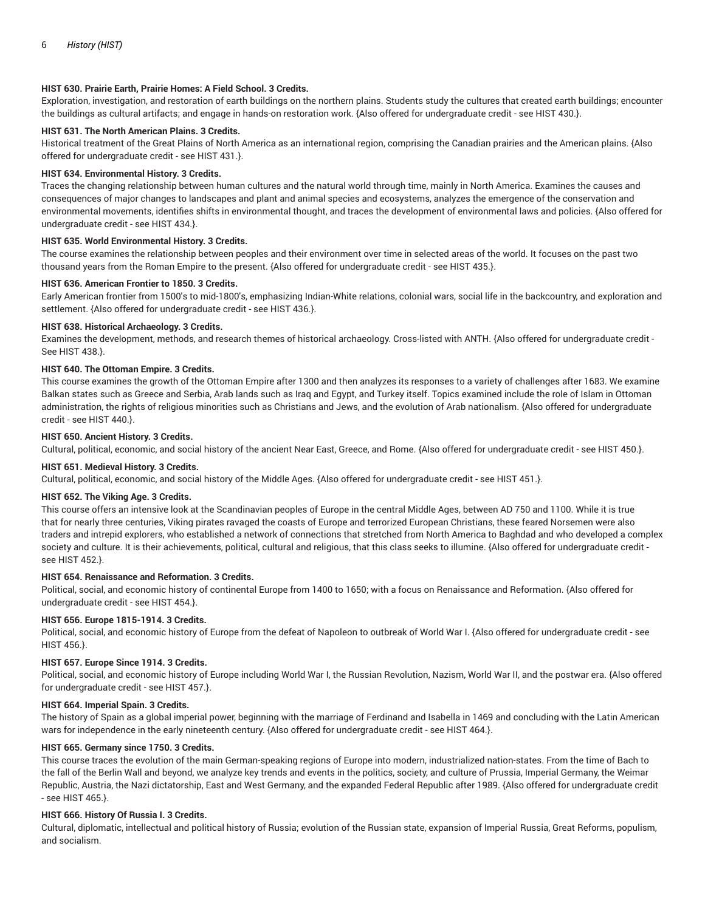## **HIST 630. Prairie Earth, Prairie Homes: A Field School. 3 Credits.**

Exploration, investigation, and restoration of earth buildings on the northern plains. Students study the cultures that created earth buildings; encounter the buildings as cultural artifacts; and engage in hands-on restoration work. {Also offered for undergraduate credit - see HIST 430.}.

# **HIST 631. The North American Plains. 3 Credits.**

Historical treatment of the Great Plains of North America as an international region, comprising the Canadian prairies and the American plains. {Also offered for undergraduate credit - see HIST 431.}.

# **HIST 634. Environmental History. 3 Credits.**

Traces the changing relationship between human cultures and the natural world through time, mainly in North America. Examines the causes and consequences of major changes to landscapes and plant and animal species and ecosystems, analyzes the emergence of the conservation and environmental movements, identifies shifts in environmental thought, and traces the development of environmental laws and policies. {Also offered for undergraduate credit - see HIST 434.}.

## **HIST 635. World Environmental History. 3 Credits.**

The course examines the relationship between peoples and their environment over time in selected areas of the world. It focuses on the past two thousand years from the Roman Empire to the present. {Also offered for undergraduate credit - see HIST 435.}.

## **HIST 636. American Frontier to 1850. 3 Credits.**

Early American frontier from 1500's to mid-1800's, emphasizing Indian-White relations, colonial wars, social life in the backcountry, and exploration and settlement. {Also offered for undergraduate credit - see HIST 436.}.

## **HIST 638. Historical Archaeology. 3 Credits.**

Examines the development, methods, and research themes of historical archaeology. Cross-listed with ANTH. {Also offered for undergraduate credit - See HIST 438.}.

# **HIST 640. The Ottoman Empire. 3 Credits.**

This course examines the growth of the Ottoman Empire after 1300 and then analyzes its responses to a variety of challenges after 1683. We examine Balkan states such as Greece and Serbia, Arab lands such as Iraq and Egypt, and Turkey itself. Topics examined include the role of Islam in Ottoman administration, the rights of religious minorities such as Christians and Jews, and the evolution of Arab nationalism. {Also offered for undergraduate credit - see HIST 440.}.

## **HIST 650. Ancient History. 3 Credits.**

Cultural, political, economic, and social history of the ancient Near East, Greece, and Rome. {Also offered for undergraduate credit - see HIST 450.}.

## **HIST 651. Medieval History. 3 Credits.**

Cultural, political, economic, and social history of the Middle Ages. {Also offered for undergraduate credit - see HIST 451.}.

## **HIST 652. The Viking Age. 3 Credits.**

This course offers an intensive look at the Scandinavian peoples of Europe in the central Middle Ages, between AD 750 and 1100. While it is true that for nearly three centuries, Viking pirates ravaged the coasts of Europe and terrorized European Christians, these feared Norsemen were also traders and intrepid explorers, who established a network of connections that stretched from North America to Baghdad and who developed a complex society and culture. It is their achievements, political, cultural and religious, that this class seeks to illumine. {Also offered for undergraduate credit see HIST 452.}.

## **HIST 654. Renaissance and Reformation. 3 Credits.**

Political, social, and economic history of continental Europe from 1400 to 1650; with a focus on Renaissance and Reformation. {Also offered for undergraduate credit - see HIST 454.}.

## **HIST 656. Europe 1815-1914. 3 Credits.**

Political, social, and economic history of Europe from the defeat of Napoleon to outbreak of World War I. {Also offered for undergraduate credit - see HIST 456.}.

# **HIST 657. Europe Since 1914. 3 Credits.**

Political, social, and economic history of Europe including World War I, the Russian Revolution, Nazism, World War II, and the postwar era. {Also offered for undergraduate credit - see HIST 457.}.

# **HIST 664. Imperial Spain. 3 Credits.**

The history of Spain as a global imperial power, beginning with the marriage of Ferdinand and Isabella in 1469 and concluding with the Latin American wars for independence in the early nineteenth century. {Also offered for undergraduate credit - see HIST 464.}.

## **HIST 665. Germany since 1750. 3 Credits.**

This course traces the evolution of the main German-speaking regions of Europe into modern, industrialized nation-states. From the time of Bach to the fall of the Berlin Wall and beyond, we analyze key trends and events in the politics, society, and culture of Prussia, Imperial Germany, the Weimar Republic, Austria, the Nazi dictatorship, East and West Germany, and the expanded Federal Republic after 1989. {Also offered for undergraduate credit - see HIST 465.}.

## **HIST 666. History Of Russia I. 3 Credits.**

Cultural, diplomatic, intellectual and political history of Russia; evolution of the Russian state, expansion of Imperial Russia, Great Reforms, populism, and socialism.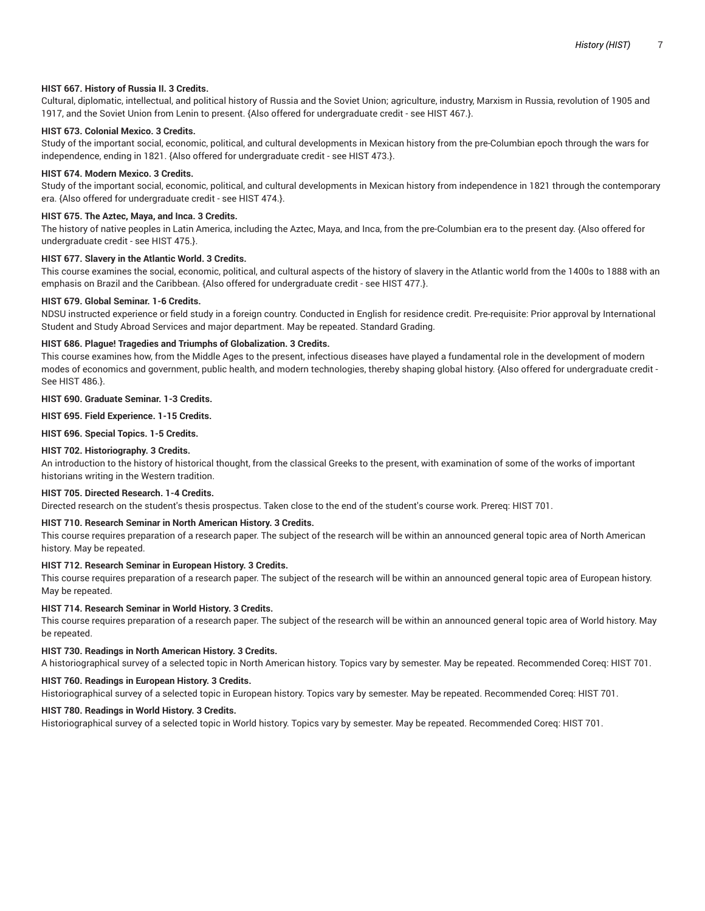## **HIST 667. History of Russia II. 3 Credits.**

Cultural, diplomatic, intellectual, and political history of Russia and the Soviet Union; agriculture, industry, Marxism in Russia, revolution of 1905 and 1917, and the Soviet Union from Lenin to present. {Also offered for undergraduate credit - see HIST 467.}.

# **HIST 673. Colonial Mexico. 3 Credits.**

Study of the important social, economic, political, and cultural developments in Mexican history from the pre-Columbian epoch through the wars for independence, ending in 1821. {Also offered for undergraduate credit - see HIST 473.}.

## **HIST 674. Modern Mexico. 3 Credits.**

Study of the important social, economic, political, and cultural developments in Mexican history from independence in 1821 through the contemporary era. {Also offered for undergraduate credit - see HIST 474.}.

## **HIST 675. The Aztec, Maya, and Inca. 3 Credits.**

The history of native peoples in Latin America, including the Aztec, Maya, and Inca, from the pre-Columbian era to the present day. {Also offered for undergraduate credit - see HIST 475.}.

## **HIST 677. Slavery in the Atlantic World. 3 Credits.**

This course examines the social, economic, political, and cultural aspects of the history of slavery in the Atlantic world from the 1400s to 1888 with an emphasis on Brazil and the Caribbean. {Also offered for undergraduate credit - see HIST 477.}.

## **HIST 679. Global Seminar. 1-6 Credits.**

NDSU instructed experience or field study in a foreign country. Conducted in English for residence credit. Pre-requisite: Prior approval by International Student and Study Abroad Services and major department. May be repeated. Standard Grading.

## **HIST 686. Plague! Tragedies and Triumphs of Globalization. 3 Credits.**

This course examines how, from the Middle Ages to the present, infectious diseases have played a fundamental role in the development of modern modes of economics and government, public health, and modern technologies, thereby shaping global history. {Also offered for undergraduate credit - See HIST 486.}.

# **HIST 690. Graduate Seminar. 1-3 Credits.**

# **HIST 695. Field Experience. 1-15 Credits.**

**HIST 696. Special Topics. 1-5 Credits.**

# **HIST 702. Historiography. 3 Credits.**

An introduction to the history of historical thought, from the classical Greeks to the present, with examination of some of the works of important historians writing in the Western tradition.

## **HIST 705. Directed Research. 1-4 Credits.**

Directed research on the student's thesis prospectus. Taken close to the end of the student's course work. Prereq: HIST 701.

#### **HIST 710. Research Seminar in North American History. 3 Credits.**

This course requires preparation of a research paper. The subject of the research will be within an announced general topic area of North American history. May be repeated.

#### **HIST 712. Research Seminar in European History. 3 Credits.**

This course requires preparation of a research paper. The subject of the research will be within an announced general topic area of European history. May be repeated.

#### **HIST 714. Research Seminar in World History. 3 Credits.**

This course requires preparation of a research paper. The subject of the research will be within an announced general topic area of World history. May be repeated.

## **HIST 730. Readings in North American History. 3 Credits.**

A historiographical survey of a selected topic in North American history. Topics vary by semester. May be repeated. Recommended Coreq: HIST 701.

# **HIST 760. Readings in European History. 3 Credits.**

Historiographical survey of a selected topic in European history. Topics vary by semester. May be repeated. Recommended Coreq: HIST 701.

#### **HIST 780. Readings in World History. 3 Credits.**

Historiographical survey of a selected topic in World history. Topics vary by semester. May be repeated. Recommended Coreq: HIST 701.